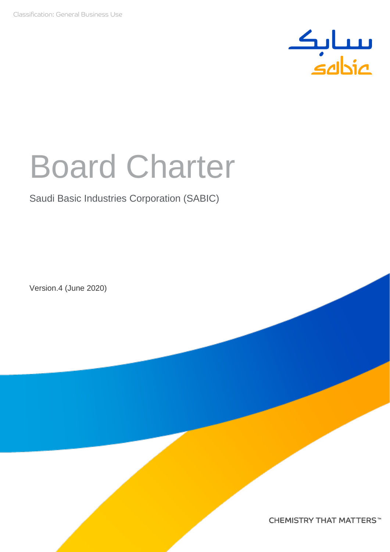

# Board Charter

## Saudi Basic Industries Corporation (SABIC)

Version.4 (June 2020)

**CHEMISTRY THAT MATTERS™**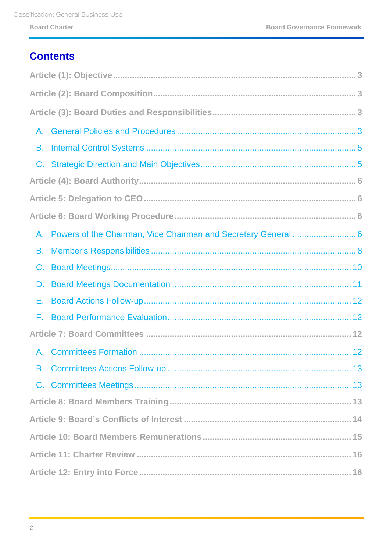# **Contents**

| A.                                                                |
|-------------------------------------------------------------------|
| <b>B.</b>                                                         |
|                                                                   |
|                                                                   |
|                                                                   |
|                                                                   |
| A. Powers of the Chairman, Vice Chairman and Secretary General  6 |
| В.                                                                |
|                                                                   |
|                                                                   |
| Е.                                                                |
| F.                                                                |
|                                                                   |
|                                                                   |
|                                                                   |
|                                                                   |
|                                                                   |
|                                                                   |
|                                                                   |
|                                                                   |
|                                                                   |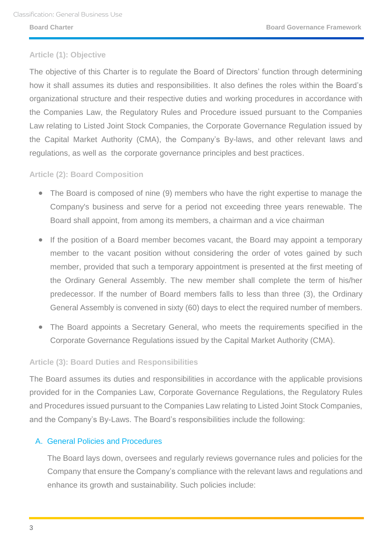#### <span id="page-2-0"></span>**Article (1): Objective**

The objective of this Charter is to regulate the Board of Directors' function through determining how it shall assumes its duties and responsibilities. It also defines the roles within the Board's organizational structure and their respective duties and working procedures in accordance with the Companies Law, the Regulatory Rules and Procedure issued pursuant to the Companies Law relating to Listed Joint Stock Companies, the Corporate Governance Regulation issued by the Capital Market Authority (CMA), the Company's By-laws, and other relevant laws and regulations, as well as the corporate governance principles and best practices.

#### <span id="page-2-1"></span>**Article (2): Board Composition**

- The Board is composed of nine (9) members who have the right expertise to manage the Company's business and serve for a period not exceeding three years renewable. The Board shall appoint, from among its members, a chairman and a vice chairman
- If the position of a Board member becomes vacant, the Board may appoint a temporary member to the vacant position without considering the order of votes gained by such member, provided that such a temporary appointment is presented at the first meeting of the Ordinary General Assembly. The new member shall complete the term of his/her predecessor. If the number of Board members falls to less than three (3), the Ordinary General Assembly is convened in sixty (60) days to elect the required number of members.
- The Board appoints a Secretary General, who meets the requirements specified in the Corporate Governance Regulations issued by the Capital Market Authority (CMA).

#### <span id="page-2-2"></span>**Article (3): Board Duties and Responsibilities**

The Board assumes its duties and responsibilities in accordance with the applicable provisions provided for in the Companies Law, Corporate Governance Regulations, the Regulatory Rules and Procedures issued pursuant to the Companies Law relating to Listed Joint Stock Companies, and the Company's By-Laws. The Board's responsibilities include the following:

#### <span id="page-2-3"></span>A. General Policies and Procedures

The Board lays down, oversees and regularly reviews governance rules and policies for the Company that ensure the Company's compliance with the relevant laws and regulations and enhance its growth and sustainability. Such policies include: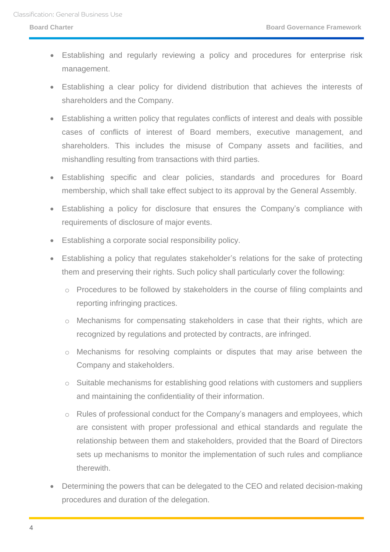- Establishing and regularly reviewing a policy and procedures for enterprise risk management.
- Establishing a clear policy for dividend distribution that achieves the interests of shareholders and the Company.
- Establishing a written policy that regulates conflicts of interest and deals with possible cases of conflicts of interest of Board members, executive management, and shareholders. This includes the misuse of Company assets and facilities, and mishandling resulting from transactions with third parties.
- Establishing specific and clear policies, standards and procedures for Board membership, which shall take effect subject to its approval by the General Assembly.
- Establishing a policy for disclosure that ensures the Company's compliance with requirements of disclosure of major events.
- Establishing a corporate social responsibility policy.
- Establishing a policy that regulates stakeholder's relations for the sake of protecting them and preserving their rights. Such policy shall particularly cover the following:
	- o Procedures to be followed by stakeholders in the course of filing complaints and reporting infringing practices.
	- o Mechanisms for compensating stakeholders in case that their rights, which are recognized by regulations and protected by contracts, are infringed.
	- o Mechanisms for resolving complaints or disputes that may arise between the Company and stakeholders.
	- o Suitable mechanisms for establishing good relations with customers and suppliers and maintaining the confidentiality of their information.
	- o Rules of professional conduct for the Company's managers and employees, which are consistent with proper professional and ethical standards and regulate the relationship between them and stakeholders, provided that the Board of Directors sets up mechanisms to monitor the implementation of such rules and compliance therewith.
- Determining the powers that can be delegated to the CEO and related decision-making procedures and duration of the delegation.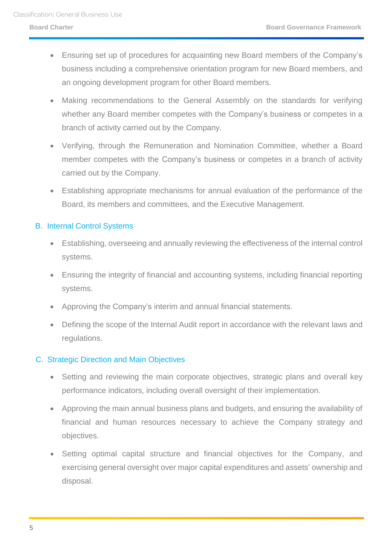- Ensuring set up of procedures for acquainting new Board members of the Company's business including a comprehensive orientation program for new Board members, and an ongoing development program for other Board members.
- Making recommendations to the General Assembly on the standards for verifying whether any Board member competes with the Company's business or competes in a branch of activity carried out by the Company.
- Verifying, through the Remuneration and Nomination Committee, whether a Board member competes with the Company's business or competes in a branch of activity carried out by the Company.
- Establishing appropriate mechanisms for annual evaluation of the performance of the Board, its members and committees, and the Executive Management.

### <span id="page-4-0"></span>B. Internal Control Systems

- Establishing, overseeing and annually reviewing the effectiveness of the internal control systems.
- Ensuring the integrity of financial and accounting systems, including financial reporting systems.
- Approving the Company's interim and annual financial statements.
- Defining the scope of the Internal Audit report in accordance with the relevant laws and regulations.

### <span id="page-4-1"></span>C. Strategic Direction and Main Objectives

- Setting and reviewing the main corporate objectives, strategic plans and overall key performance indicators, including overall oversight of their implementation.
- Approving the main annual business plans and budgets, and ensuring the availability of financial and human resources necessary to achieve the Company strategy and objectives.
- Setting optimal capital structure and financial objectives for the Company, and exercising general oversight over major capital expenditures and assets' ownership and disposal.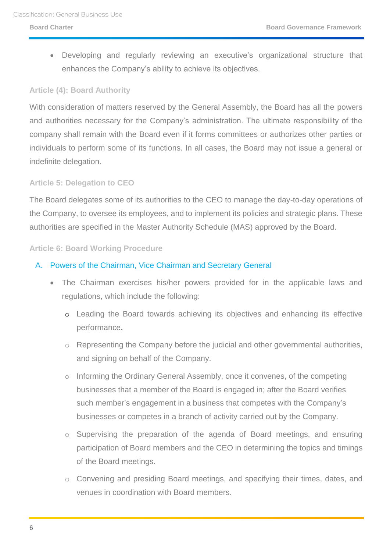Developing and regularly reviewing an executive's organizational structure that enhances the Company's ability to achieve its objectives.

#### <span id="page-5-0"></span>**Article (4): Board Authority**

With consideration of matters reserved by the General Assembly, the Board has all the powers and authorities necessary for the Company's administration. The ultimate responsibility of the company shall remain with the Board even if it forms committees or authorizes other parties or individuals to perform some of its functions. In all cases, the Board may not issue a general or indefinite delegation.

#### <span id="page-5-1"></span>**Article 5: Delegation to CEO**

The Board delegates some of its authorities to the CEO to manage the day-to-day operations of the Company, to oversee its employees, and to implement its policies and strategic plans. These authorities are specified in the Master Authority Schedule (MAS) approved by the Board.

#### <span id="page-5-2"></span>**Article 6: Board Working Procedure**

#### <span id="page-5-3"></span>A. Powers of the Chairman, Vice Chairman and Secretary General

- The Chairman exercises his/her powers provided for in the applicable laws and regulations, which include the following:
	- o Leading the Board towards achieving its objectives and enhancing its effective performance.
	- o Representing the Company before the judicial and other governmental authorities, and signing on behalf of the Company.
	- o Informing the Ordinary General Assembly, once it convenes, of the competing businesses that a member of the Board is engaged in; after the Board verifies such member's engagement in a business that competes with the Company's businesses or competes in a branch of activity carried out by the Company.
	- o Supervising the preparation of the agenda of Board meetings, and ensuring participation of Board members and the CEO in determining the topics and timings of the Board meetings.
	- o Convening and presiding Board meetings, and specifying their times, dates, and venues in coordination with Board members.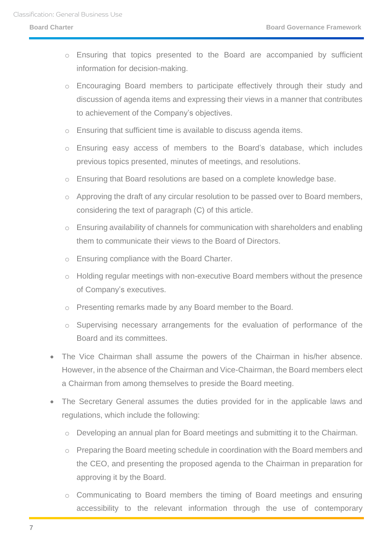- o Ensuring that topics presented to the Board are accompanied by sufficient information for decision-making.
- o Encouraging Board members to participate effectively through their study and discussion of agenda items and expressing their views in a manner that contributes to achievement of the Company's objectives.
- o Ensuring that sufficient time is available to discuss agenda items.
- o Ensuring easy access of members to the Board's database, which includes previous topics presented, minutes of meetings, and resolutions.
- o Ensuring that Board resolutions are based on a complete knowledge base.
- o Approving the draft of any circular resolution to be passed over to Board members, considering the text of paragraph (C) of this article.
- o Ensuring availability of channels for communication with shareholders and enabling them to communicate their views to the Board of Directors.
- o Ensuring compliance with the Board Charter.
- o Holding regular meetings with non-executive Board members without the presence of Company's executives.
- o Presenting remarks made by any Board member to the Board.
- o Supervising necessary arrangements for the evaluation of performance of the Board and its committees.
- The Vice Chairman shall assume the powers of the Chairman in his/her absence. However, in the absence of the Chairman and Vice-Chairman, the Board members elect a Chairman from among themselves to preside the Board meeting.
- The Secretary General assumes the duties provided for in the applicable laws and regulations, which include the following:
	- o Developing an annual plan for Board meetings and submitting it to the Chairman.
	- o Preparing the Board meeting schedule in coordination with the Board members and the CEO, and presenting the proposed agenda to the Chairman in preparation for approving it by the Board.
	- o Communicating to Board members the timing of Board meetings and ensuring accessibility to the relevant information through the use of contemporary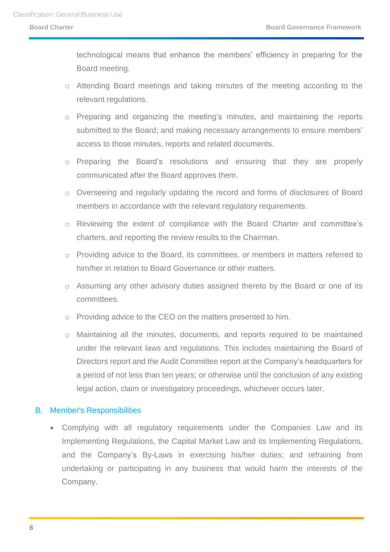technological means that enhance the members' efficiency in preparing for the Board meeting.

- o Attending Board meetings and taking minutes of the meeting according to the relevant regulations.
- o Preparing and organizing the meeting's minutes, and maintaining the reports submitted to the Board; and making necessary arrangements to ensure members' access to those minutes, reports and related documents.
- o Preparing the Board's resolutions and ensuring that they are properly communicated after the Board approves them.
- o Overseeing and regularly updating the record and forms of disclosures of Board members in accordance with the relevant regulatory requirements.
- o Reviewing the extent of compliance with the Board Charter and committee's charters, and reporting the review results to the Chairman.
- o Providing advice to the Board, its committees, or members in matters referred to him/her in relation to Board Governance or other matters.
- o Assuming any other advisory duties assigned thereto by the Board or one of its committees.
- o Providing advice to the CEO on the matters presented to him.
- o Maintaining all the minutes, documents, and reports required to be maintained under the relevant laws and regulations. This includes maintaining the Board of Directors report and the Audit Committee report at the Company's headquarters for a period of not less than ten years; or otherwise until the conclusion of any existing legal action, claim or investigatory proceedings, whichever occurs later.

#### <span id="page-7-0"></span>B. Member's Responsibilities

 Complying with all regulatory requirements under the Companies Law and its Implementing Regulations, the Capital Market Law and its Implementing Regulations, and the Company's By-Laws in exercising his/her duties; and refraining from undertaking or participating in any business that would harm the interests of the Company.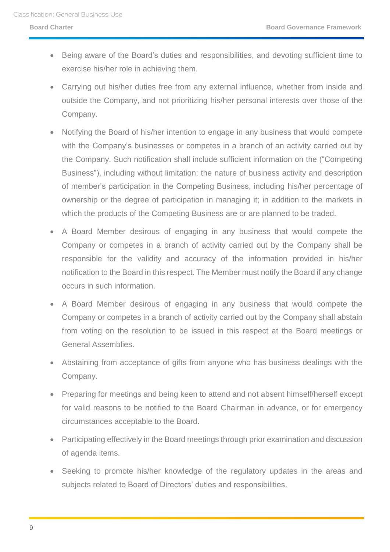- Being aware of the Board's duties and responsibilities, and devoting sufficient time to exercise his/her role in achieving them.
- Carrying out his/her duties free from any external influence, whether from inside and outside the Company, and not prioritizing his/her personal interests over those of the Company.
- Notifying the Board of his/her intention to engage in any business that would compete with the Company's businesses or competes in a branch of an activity carried out by the Company. Such notification shall include sufficient information on the ("Competing Business"), including without limitation: the nature of business activity and description of member's participation in the Competing Business, including his/her percentage of ownership or the degree of participation in managing it; in addition to the markets in which the products of the Competing Business are or are planned to be traded.
- A Board Member desirous of engaging in any business that would compete the Company or competes in a branch of activity carried out by the Company shall be responsible for the validity and accuracy of the information provided in his/her notification to the Board in this respect. The Member must notify the Board if any change occurs in such information.
- A Board Member desirous of engaging in any business that would compete the Company or competes in a branch of activity carried out by the Company shall abstain from voting on the resolution to be issued in this respect at the Board meetings or General Assemblies.
- Abstaining from acceptance of gifts from anyone who has business dealings with the Company.
- Preparing for meetings and being keen to attend and not absent himself/herself except for valid reasons to be notified to the Board Chairman in advance, or for emergency circumstances acceptable to the Board.
- Participating effectively in the Board meetings through prior examination and discussion of agenda items.
- Seeking to promote his/her knowledge of the regulatory updates in the areas and subjects related to Board of Directors' duties and responsibilities.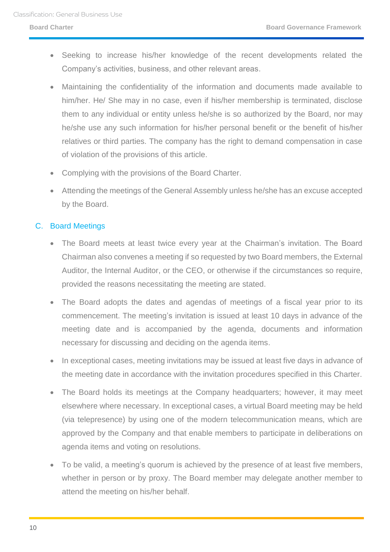- Seeking to increase his/her knowledge of the recent developments related the Company's activities, business, and other relevant areas.
- Maintaining the confidentiality of the information and documents made available to him/her. He/ She may in no case, even if his/her membership is terminated, disclose them to any individual or entity unless he/she is so authorized by the Board, nor may he/she use any such information for his/her personal benefit or the benefit of his/her relatives or third parties. The company has the right to demand compensation in case of violation of the provisions of this article.
- Complying with the provisions of the Board Charter.
- Attending the meetings of the General Assembly unless he/she has an excuse accepted by the Board.

#### <span id="page-9-0"></span>C. Board Meetings

- The Board meets at least twice every year at the Chairman's invitation. The Board Chairman also convenes a meeting if so requested by two Board members, the External Auditor, the Internal Auditor, or the CEO, or otherwise if the circumstances so require, provided the reasons necessitating the meeting are stated.
- The Board adopts the dates and agendas of meetings of a fiscal year prior to its commencement. The meeting's invitation is issued at least 10 days in advance of the meeting date and is accompanied by the agenda, documents and information necessary for discussing and deciding on the agenda items.
- In exceptional cases, meeting invitations may be issued at least five days in advance of the meeting date in accordance with the invitation procedures specified in this Charter.
- The Board holds its meetings at the Company headquarters; however, it may meet elsewhere where necessary. In exceptional cases, a virtual Board meeting may be held (via telepresence) by using one of the modern telecommunication means, which are approved by the Company and that enable members to participate in deliberations on agenda items and voting on resolutions.
- To be valid, a meeting's quorum is achieved by the presence of at least five members, whether in person or by proxy. The Board member may delegate another member to attend the meeting on his/her behalf.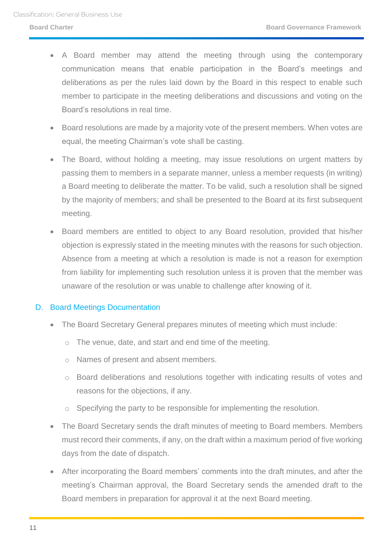- A Board member may attend the meeting through using the contemporary communication means that enable participation in the Board's meetings and deliberations as per the rules laid down by the Board in this respect to enable such member to participate in the meeting deliberations and discussions and voting on the Board's resolutions in real time.
- Board resolutions are made by a majority vote of the present members. When votes are equal, the meeting Chairman's vote shall be casting.
- The Board, without holding a meeting, may issue resolutions on urgent matters by passing them to members in a separate manner, unless a member requests (in writing) a Board meeting to deliberate the matter. To be valid, such a resolution shall be signed by the majority of members; and shall be presented to the Board at its first subsequent meeting.
- Board members are entitled to object to any Board resolution, provided that his/her objection is expressly stated in the meeting minutes with the reasons for such objection. Absence from a meeting at which a resolution is made is not a reason for exemption from liability for implementing such resolution unless it is proven that the member was unaware of the resolution or was unable to challenge after knowing of it.

#### <span id="page-10-0"></span>D. Board Meetings Documentation

- The Board Secretary General prepares minutes of meeting which must include:
	- o The venue, date, and start and end time of the meeting.
	- o Names of present and absent members.
	- o Board deliberations and resolutions together with indicating results of votes and reasons for the objections, if any.
	- o Specifying the party to be responsible for implementing the resolution.
- The Board Secretary sends the draft minutes of meeting to Board members. Members must record their comments, if any, on the draft within a maximum period of five working days from the date of dispatch.
- After incorporating the Board members' comments into the draft minutes, and after the meeting's Chairman approval, the Board Secretary sends the amended draft to the Board members in preparation for approval it at the next Board meeting.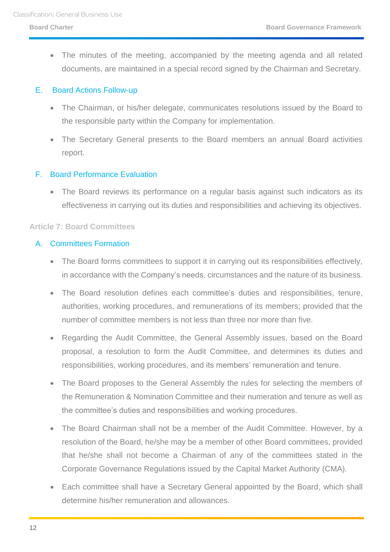The minutes of the meeting, accompanied by the meeting agenda and all related documents, are maintained in a special record signed by the Chairman and Secretary.

#### <span id="page-11-0"></span>E. Board Actions Follow-up

- The Chairman, or his/her delegate, communicates resolutions issued by the Board to the responsible party within the Company for implementation.
- The Secretary General presents to the Board members an annual Board activities report.

### <span id="page-11-1"></span>F. Board Performance Evaluation

 The Board reviews its performance on a regular basis against such indicators as its effectiveness in carrying out its duties and responsibilities and achieving its objectives.

#### <span id="page-11-2"></span>**Article 7: Board Committees**

#### <span id="page-11-3"></span>A. Committees Formation

- The Board forms committees to support it in carrying out its responsibilities effectively, in accordance with the Company's needs, circumstances and the nature of its business.
- The Board resolution defines each committee's duties and responsibilities, tenure, authorities, working procedures, and remunerations of its members; provided that the number of committee members is not less than three nor more than five.
- Regarding the Audit Committee, the General Assembly issues, based on the Board proposal, a resolution to form the Audit Committee, and determines its duties and responsibilities, working procedures, and its members' remuneration and tenure.
- The Board proposes to the General Assembly the rules for selecting the members of the Remuneration & Nomination Committee and their numeration and tenure as well as the committee's duties and responsibilities and working procedures.
- The Board Chairman shall not be a member of the Audit Committee. However, by a resolution of the Board, he/she may be a member of other Board committees, provided that he/she shall not become a Chairman of any of the committees stated in the Corporate Governance Regulations issued by the Capital Market Authority (CMA).
- Each committee shall have a Secretary General appointed by the Board, which shall determine his/her remuneration and allowances.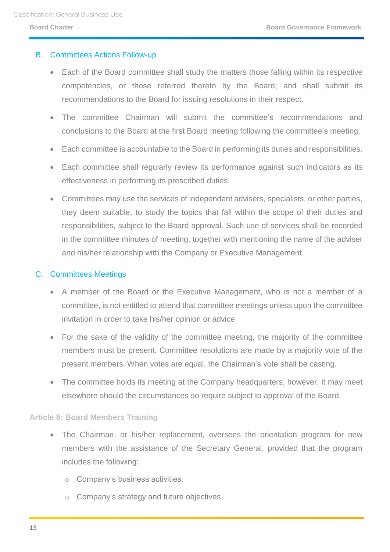#### <span id="page-12-0"></span>B. Committees Actions Follow-up

- Each of the Board committee shall study the matters those falling within its respective competencies, or those referred thereto by the Board; and shall submit its recommendations to the Board for issuing resolutions in their respect.
- The committee Chairman will submit the committee's recommendations and conclusions to the Board at the first Board meeting following the committee's meeting.
- Each committee is accountable to the Board in performing its duties and responsibilities.
- Each committee shall regularly review its performance against such indicators as its effectiveness in performing its prescribed duties.
- Committees may use the services of independent advisers, specialists, or other parties, they deem suitable, to study the topics that fall within the scope of their duties and responsibilities, subject to the Board approval. Such use of services shall be recorded in the committee minutes of meeting, together with mentioning the name of the adviser and his/her relationship with the Company or Executive Management.

#### <span id="page-12-1"></span>C. Committees Meetings

- A member of the Board or the Executive Management, who is not a member of a committee, is not entitled to attend that committee meetings unless upon the committee invitation in order to take his/her opinion or advice.
- For the sake of the validity of the committee meeting, the majority of the committee members must be present. Committee resolutions are made by a majority vote of the present members. When votes are equal, the Chairman's vote shall be casting.
- The committee holds its meeting at the Company headquarters; however, it may meet elsewhere should the circumstances so require subject to approval of the Board.

### <span id="page-12-2"></span>**Article 8: Board Members Training**

- The Chairman, or his/her replacement, oversees the orientation program for new members with the assistance of the Secretary General, provided that the program includes the following:
	- o Company's business activities.
	- o Company's strategy and future objectives.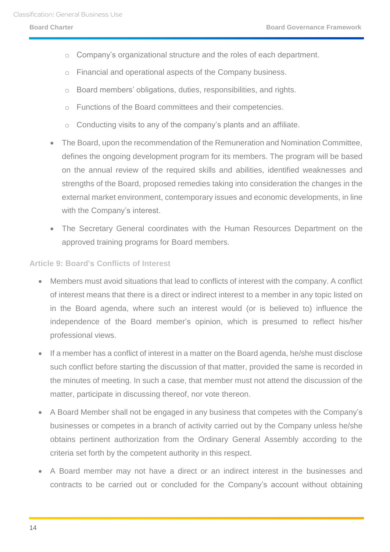- o Company's organizational structure and the roles of each department.
- o Financial and operational aspects of the Company business.
- o Board members' obligations, duties, responsibilities, and rights.
- o Functions of the Board committees and their competencies.
- o Conducting visits to any of the company's plants and an affiliate.
- The Board, upon the recommendation of the Remuneration and Nomination Committee, defines the ongoing development program for its members. The program will be based on the annual review of the required skills and abilities, identified weaknesses and strengths of the Board, proposed remedies taking into consideration the changes in the external market environment, contemporary issues and economic developments, in line with the Company's interest.
- The Secretary General coordinates with the Human Resources Department on the approved training programs for Board members.

#### <span id="page-13-0"></span>**Article 9: Board's Conflicts of Interest**

- Members must avoid situations that lead to conflicts of interest with the company. A conflict of interest means that there is a direct or indirect interest to a member in any topic listed on in the Board agenda, where such an interest would (or is believed to) influence the independence of the Board member's opinion, which is presumed to reflect his/her professional views.
- If a member has a conflict of interest in a matter on the Board agenda, he/she must disclose such conflict before starting the discussion of that matter, provided the same is recorded in the minutes of meeting. In such a case, that member must not attend the discussion of the matter, participate in discussing thereof, nor vote thereon.
- A Board Member shall not be engaged in any business that competes with the Company's businesses or competes in a branch of activity carried out by the Company unless he/she obtains pertinent authorization from the Ordinary General Assembly according to the criteria set forth by the competent authority in this respect.
- A Board member may not have a direct or an indirect interest in the businesses and contracts to be carried out or concluded for the Company's account without obtaining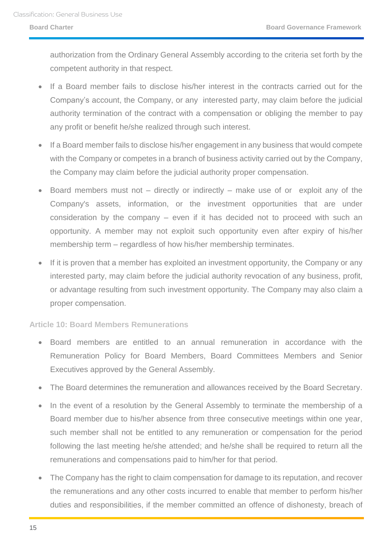authorization from the Ordinary General Assembly according to the criteria set forth by the competent authority in that respect.

- If a Board member fails to disclose his/her interest in the contracts carried out for the Company's account, the Company, or any interested party, may claim before the judicial authority termination of the contract with a compensation or obliging the member to pay any profit or benefit he/she realized through such interest.
- If a Board member fails to disclose his/her engagement in any business that would compete with the Company or competes in a branch of business activity carried out by the Company, the Company may claim before the judicial authority proper compensation.
- Board members must not directly or indirectly make use of or exploit any of the Company's assets, information, or the investment opportunities that are under consideration by the company – even if it has decided not to proceed with such an opportunity. A member may not exploit such opportunity even after expiry of his/her membership term – regardless of how his/her membership terminates.
- If it is proven that a member has exploited an investment opportunity, the Company or any interested party, may claim before the judicial authority revocation of any business, profit, or advantage resulting from such investment opportunity. The Company may also claim a proper compensation.

### <span id="page-14-0"></span>**Article 10: Board Members Remunerations**

- Board members are entitled to an annual remuneration in accordance with the Remuneration Policy for Board Members, Board Committees Members and Senior Executives approved by the General Assembly.
- The Board determines the remuneration and allowances received by the Board Secretary.
- In the event of a resolution by the General Assembly to terminate the membership of a Board member due to his/her absence from three consecutive meetings within one year, such member shall not be entitled to any remuneration or compensation for the period following the last meeting he/she attended; and he/she shall be required to return all the remunerations and compensations paid to him/her for that period.
- The Company has the right to claim compensation for damage to its reputation, and recover the remunerations and any other costs incurred to enable that member to perform his/her duties and responsibilities, if the member committed an offence of dishonesty, breach of